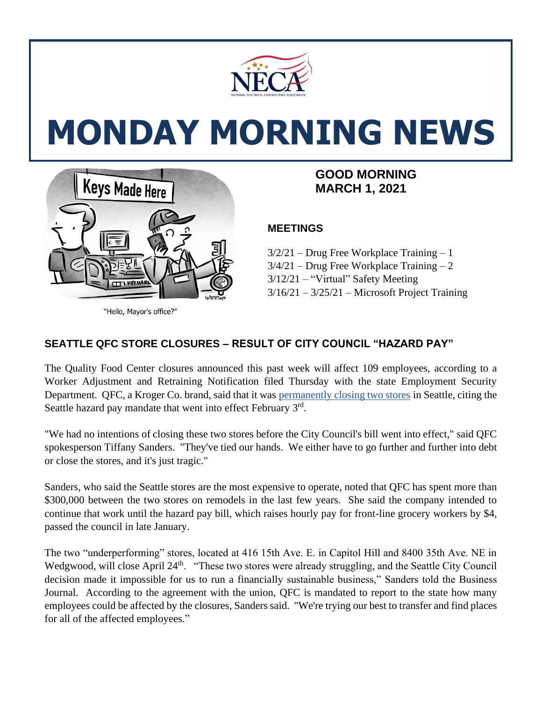

# **MONDAY MORNING NEWS**



"Hello, Mayor's office?"

## **MARCH 1, 2021**

### **MEETINGS**

3/2/21 – Drug Free Workplace Training – 1  $3/4/21$  – Drug Free Workplace Training – 2 3/12/21 – "Virtual" Safety Meeting  $3/16/21 - 3/25/21$  – Microsoft Project Training

#### **SEATTLE QFC STORE CLOSURES – RESULT OF CITY COUNCIL "HAZARD PAY"**

The Quality Food Center closures announced this past week will affect 109 employees, according to a Worker Adjustment and Retraining Notification filed Thursday with the state Employment Security Department. QFC, a Kroger Co. brand, said that it was [permanently closing two stores](https://www.bizjournals.com/seattle/news/2021/02/16/qfc-seattle-store-closures.html) in Seattle, citing the Seattle hazard pay mandate that went into effect February 3rd.

"We had no intentions of closing these two stores before the City Council's bill went into effect," said QFC spokesperson Tiffany Sanders. "They've tied our hands. We either have to go further and further into debt or close the stores, and it's just tragic."

Sanders, who said the Seattle stores are the most expensive to operate, noted that QFC has spent more than \$300,000 between the two stores on remodels in the last few years. She said the company intended to continue that work until the hazard pay bill, which raises hourly pay for front-line grocery workers by \$4, passed the council in late January.

The two "underperforming" stores, located at 416 15th Ave. E. in Capitol Hill and 8400 35th Ave. NE in Wedgwood, will close April 24<sup>th</sup>. "These two stores were already struggling, and the Seattle City Council decision made it impossible for us to run a financially sustainable business," Sanders told the Business Journal. According to the agreement with the union, QFC is mandated to report to the state how many employees could be affected by the closures, Sanders said. "We're trying our best to transfer and find places for all of the affected employees."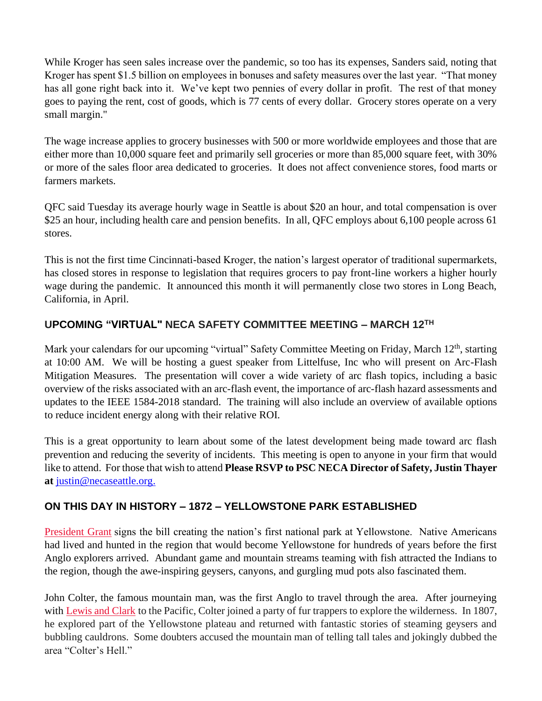While Kroger has seen sales increase over the pandemic, so too has its expenses, Sanders said, noting that Kroger has spent \$1.5 billion on employees in bonuses and safety measures over the last year. "That money has all gone right back into it. We've kept two pennies of every dollar in profit. The rest of that money goes to paying the rent, cost of goods, which is 77 cents of every dollar. Grocery stores operate on a very small margin."

The wage increase applies to grocery businesses with 500 or more worldwide employees and those that are either more than 10,000 square feet and primarily sell groceries or more than 85,000 square feet, with 30% or more of the sales floor area dedicated to groceries. It does not affect convenience stores, food marts or farmers markets.

QFC said Tuesday its average hourly wage in Seattle is about \$20 an hour, and total compensation is over \$25 an hour, including health care and pension benefits. In all, QFC employs about 6,100 people across 61 stores.

This is not the first time Cincinnati-based Kroger, the nation's largest operator of traditional supermarkets, has closed stores in response to legislation that requires grocers to pay front-line workers a higher hourly wage during the pandemic. It announced this month it will permanently close two stores in Long Beach, California, in April.

#### **UPCOMING "VIRTUAL" NECA SAFETY COMMITTEE MEETING – MARCH 12 TH**

Mark your calendars for our upcoming "virtual" Safety Committee Meeting on Friday, March 12<sup>th</sup>, starting at 10:00 AM. We will be hosting a guest speaker from Littelfuse, Inc who will present on Arc-Flash Mitigation Measures. The presentation will cover a wide variety of arc flash topics, including a basic overview of the risks associated with an arc-flash event, the importance of arc-flash hazard assessments and updates to the IEEE 1584-2018 standard. The training will also include an overview of available options to reduce incident energy along with their relative ROI.

This is a great opportunity to learn about some of the latest development being made toward arc flash prevention and reducing the severity of incidents. This meeting is open to anyone in your firm that would like to attend. For those that wish to attend **Please RSVP to PSC NECA Director of Safety, Justin Thayer at** [justin@necaseattle.org.](mailto:justin@necaseattle.org)

#### **ON THIS DAY IN HISTORY – 1872 – YELLOWSTONE PARK ESTABLISHED**

[President Grant](https://www.history.com/topics/us-presidents/ulysses-s-grant-video) signs the bill creating the nation's first national park at Yellowstone. Native Americans had lived and hunted in the region that would become Yellowstone for hundreds of years before the first Anglo explorers arrived. Abundant game and mountain streams teaming with fish attracted the Indians to the region, though the awe-inspiring geysers, canyons, and gurgling mud pots also fascinated them.

John Colter, the famous mountain man, was the first Anglo to travel through the area. After journeying with [Lewis and Clark](https://www.history.com/topics/lewis-and-clark) to the Pacific, Colter joined a party of fur trappers to explore the wilderness. In 1807, he explored part of the Yellowstone plateau and returned with fantastic stories of steaming geysers and bubbling cauldrons. Some doubters accused the mountain man of telling tall tales and jokingly dubbed the area "Colter's Hell."